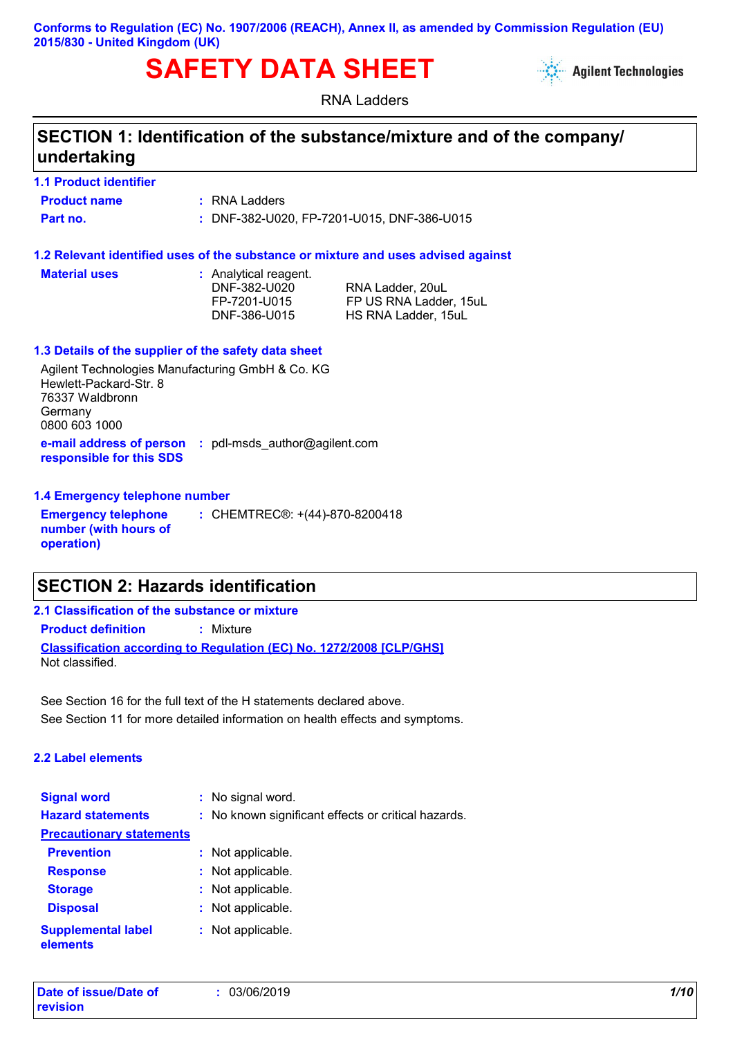#### **Conforms to Regulation (EC) No. 1907/2006 (REACH), Annex II, as amended by Commission Regulation (EU) 2015/830 - United Kingdom (UK)**

# **SAFETY DATA SHEET**



RNA Ladders

# **SECTION 1: Identification of the substance/mixture and of the company/ undertaking**

#### **1.1 Product identifier**

**Product name :** RNA Ladders

**Part no. :** DNF-382-U020, FP-7201-U015, DNF-386-U015

#### **1.2 Relevant identified uses of the substance or mixture and uses advised against**

**Material uses :**

: Analytical reagent.

DNF-382-U020 RNA Ladder, 20uL FP-7201-U015 FP US RNA Ladder, 15uL DNF-386-U015 HS RNA Ladder, 15uL

#### **1.3 Details of the supplier of the safety data sheet**

**e-mail address of person responsible for this SDS :** pdl-msds\_author@agilent.com Agilent Technologies Manufacturing GmbH & Co. KG Hewlett-Packard-Str. 8 76337 Waldbronn Germany 0800 603 1000

#### **1.4 Emergency telephone number**

**Emergency telephone number (with hours of operation) :** CHEMTREC®: +(44)-870-8200418

# **SECTION 2: Hazards identification**

**2.1 Classification of the substance or mixture**

**Product definition :** Mixture

**Classification according to Regulation (EC) No. 1272/2008 [CLP/GHS]** Not classified.

See Section 11 for more detailed information on health effects and symptoms. See Section 16 for the full text of the H statements declared above.

#### **2.2 Label elements**

| <b>Signal word</b>                    |    | : No signal word.                                   |
|---------------------------------------|----|-----------------------------------------------------|
| <b>Hazard statements</b>              |    | : No known significant effects or critical hazards. |
| <b>Precautionary statements</b>       |    |                                                     |
| <b>Prevention</b>                     |    | : Not applicable.                                   |
| <b>Response</b>                       |    | Not applicable.                                     |
| <b>Storage</b>                        | t. | Not applicable.                                     |
| <b>Disposal</b>                       | t. | Not applicable.                                     |
| <b>Supplemental label</b><br>elements |    | Not applicable.                                     |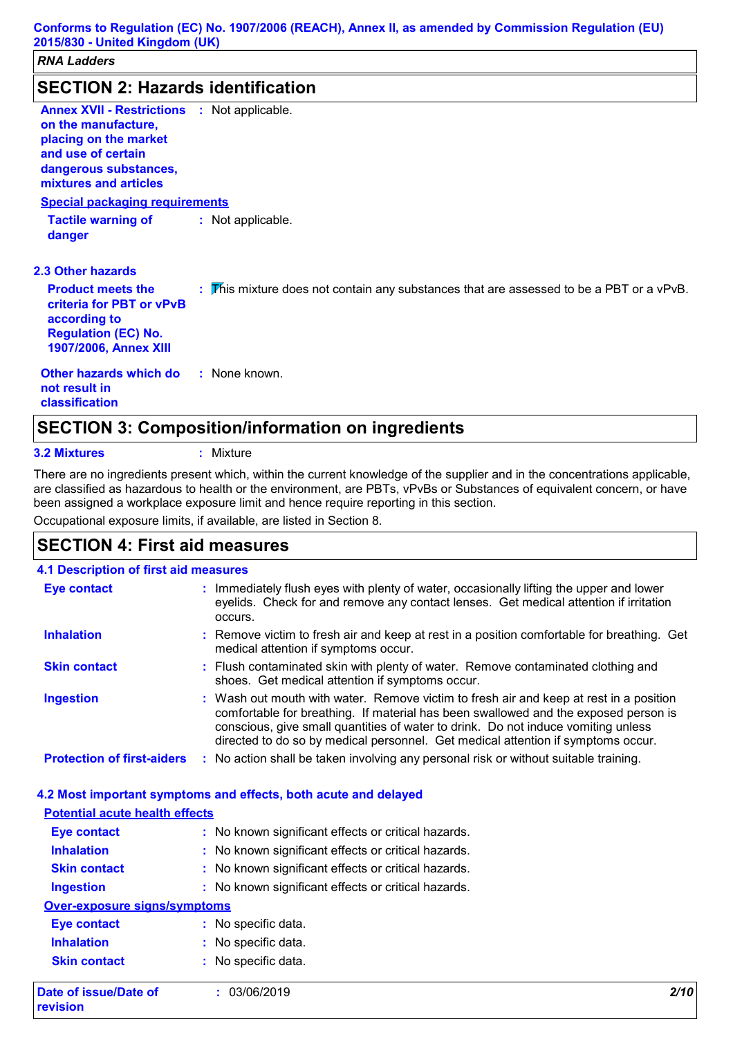# **SECTION 2: Hazards identification**

| SECTION 2. Hazarus Iuenthication                                                                                                                                           |                                                                                         |
|----------------------------------------------------------------------------------------------------------------------------------------------------------------------------|-----------------------------------------------------------------------------------------|
| <b>Annex XVII - Restrictions : Not applicable.</b><br>on the manufacture,<br>placing on the market<br>and use of certain<br>dangerous substances,<br>mixtures and articles |                                                                                         |
| <b>Special packaging requirements</b>                                                                                                                                      |                                                                                         |
| <b>Tactile warning of</b><br>danger                                                                                                                                        | : Not applicable.                                                                       |
| <b>2.3 Other hazards</b>                                                                                                                                                   |                                                                                         |
| <b>Product meets the</b><br>criteria for PBT or vPvB<br>according to<br><b>Regulation (EC) No.</b><br><b>1907/2006, Annex XIII</b>                                         | : This mixture does not contain any substances that are assessed to be a PBT or a vPvB. |
| Other hazards which do<br>not result in<br>classification                                                                                                                  | : None known.                                                                           |

#### **3.2 Mixtures :** Mixture

There are no ingredients present which, within the current knowledge of the supplier and in the concentrations applicable, are classified as hazardous to health or the environment, are PBTs, vPvBs or Substances of equivalent concern, or have been assigned a workplace exposure limit and hence require reporting in this section.

Occupational exposure limits, if available, are listed in Section 8.

### **SECTION 4: First aid measures**

#### **4.1 Description of first aid measures**

| <b>Eye contact</b>                | : Immediately flush eyes with plenty of water, occasionally lifting the upper and lower<br>eyelids. Check for and remove any contact lenses. Get medical attention if irritation<br>occurs.                                                                                                                                                            |
|-----------------------------------|--------------------------------------------------------------------------------------------------------------------------------------------------------------------------------------------------------------------------------------------------------------------------------------------------------------------------------------------------------|
| <b>Inhalation</b>                 | : Remove victim to fresh air and keep at rest in a position comfortable for breathing. Get<br>medical attention if symptoms occur.                                                                                                                                                                                                                     |
| <b>Skin contact</b>               | : Flush contaminated skin with plenty of water. Remove contaminated clothing and<br>shoes. Get medical attention if symptoms occur.                                                                                                                                                                                                                    |
| <b>Ingestion</b>                  | : Wash out mouth with water. Remove victim to fresh air and keep at rest in a position<br>comfortable for breathing. If material has been swallowed and the exposed person is<br>conscious, give small quantities of water to drink. Do not induce vomiting unless<br>directed to do so by medical personnel. Get medical attention if symptoms occur. |
| <b>Protection of first-aiders</b> | : No action shall be taken involving any personal risk or without suitable training.                                                                                                                                                                                                                                                                   |

### **4.2 Most important symptoms and effects, both acute and delayed**

| <b>Potential acute health effects</b> |                                                     |      |
|---------------------------------------|-----------------------------------------------------|------|
| <b>Eye contact</b>                    | : No known significant effects or critical hazards. |      |
| <b>Inhalation</b>                     | : No known significant effects or critical hazards. |      |
| <b>Skin contact</b>                   | : No known significant effects or critical hazards. |      |
| <b>Ingestion</b>                      | : No known significant effects or critical hazards. |      |
| <b>Over-exposure signs/symptoms</b>   |                                                     |      |
| Eye contact                           | : No specific data.                                 |      |
| <b>Inhalation</b>                     | : No specific data.                                 |      |
| <b>Skin contact</b>                   | : No specific data.                                 |      |
| Date of issue/Date of<br>revision     | : 03/06/2019                                        | 2/10 |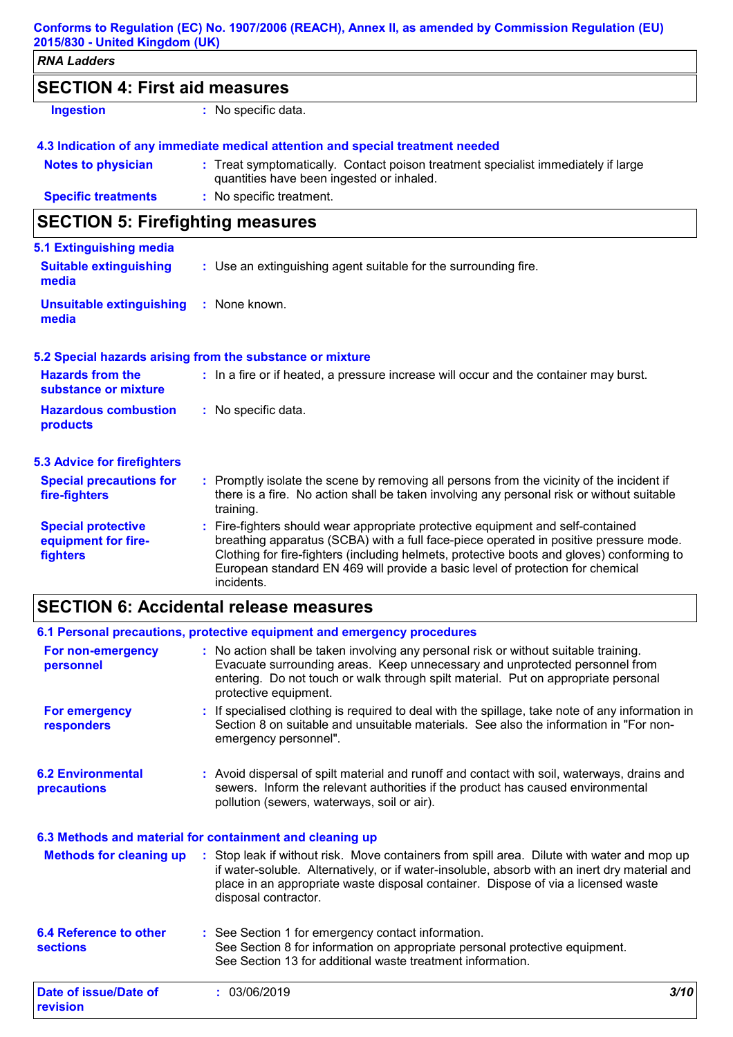| 2015/830 - United Kingdom (UK)                  | Conforms to Regulation (EC) No. 1907/2006 (REACH), Annex II, as amended by Commission Regulation (EU)                                                                                               |
|-------------------------------------------------|-----------------------------------------------------------------------------------------------------------------------------------------------------------------------------------------------------|
| <b>RNA Ladders</b>                              |                                                                                                                                                                                                     |
| <b>SECTION 4: First aid measures</b>            |                                                                                                                                                                                                     |
| <b>Ingestion</b>                                | : No specific data.                                                                                                                                                                                 |
|                                                 | 4.3 Indication of any immediate medical attention and special treatment needed                                                                                                                      |
| <b>Notes to physician</b>                       | : Treat symptomatically. Contact poison treatment specialist immediately if large<br>quantities have been ingested or inhaled.                                                                      |
| <b>Specific treatments</b>                      | : No specific treatment.                                                                                                                                                                            |
| <b>SECTION 5: Firefighting measures</b>         |                                                                                                                                                                                                     |
| 5.1 Extinguishing media                         |                                                                                                                                                                                                     |
| <b>Suitable extinguishing</b><br>media          | : Use an extinguishing agent suitable for the surrounding fire.                                                                                                                                     |
| <b>Unsuitable extinguishing</b><br>media        | : None known.                                                                                                                                                                                       |
|                                                 | 5.2 Special hazards arising from the substance or mixture                                                                                                                                           |
| <b>Hazards from the</b><br>substance or mixture | : In a fire or if heated, a pressure increase will occur and the container may burst.                                                                                                               |
| <b>Hazardous combustion</b><br>products         | : No specific data.                                                                                                                                                                                 |
| <b>5.3 Advice for firefighters</b>              |                                                                                                                                                                                                     |
| <b>Special precautions for</b><br>fire-fighters | : Promptly isolate the scene by removing all persons from the vicinity of the incident if<br>there is a fire. No action shall be taken involving any personal risk or without suitable<br>training. |

| <b>Special protective</b><br>equipment for fire-<br>fighters | Fire-fighters should wear appropriate protective equipment and self-contained<br>breathing apparatus (SCBA) with a full face-piece operated in positive pressure mode.<br>Clothing for fire-fighters (including helmets, protective boots and gloves) conforming to<br>European standard EN 469 will provide a basic level of protection for chemical<br>incidents. |
|--------------------------------------------------------------|---------------------------------------------------------------------------------------------------------------------------------------------------------------------------------------------------------------------------------------------------------------------------------------------------------------------------------------------------------------------|
|--------------------------------------------------------------|---------------------------------------------------------------------------------------------------------------------------------------------------------------------------------------------------------------------------------------------------------------------------------------------------------------------------------------------------------------------|

# **SECTION 6: Accidental release measures**

|                                                  | 6.1 Personal precautions, protective equipment and emergency procedures                                                                                                                                                                                                                                  |
|--------------------------------------------------|----------------------------------------------------------------------------------------------------------------------------------------------------------------------------------------------------------------------------------------------------------------------------------------------------------|
| For non-emergency<br>personnel                   | : No action shall be taken involving any personal risk or without suitable training.<br>Evacuate surrounding areas. Keep unnecessary and unprotected personnel from<br>entering. Do not touch or walk through spilt material. Put on appropriate personal<br>protective equipment.                       |
| <b>For emergency</b><br>responders               | : If specialised clothing is required to deal with the spillage, take note of any information in<br>Section 8 on suitable and unsuitable materials. See also the information in "For non-<br>emergency personnel".                                                                                       |
| <b>6.2 Environmental</b><br><b>precautions</b>   | : Avoid dispersal of spilt material and runoff and contact with soil, waterways, drains and<br>sewers. Inform the relevant authorities if the product has caused environmental<br>pollution (sewers, waterways, soil or air).                                                                            |
|                                                  | 6.3 Methods and material for containment and cleaning up                                                                                                                                                                                                                                                 |
| <b>Methods for cleaning up</b>                   | : Stop leak if without risk. Move containers from spill area. Dilute with water and mop up<br>if water-soluble. Alternatively, or if water-insoluble, absorb with an inert dry material and<br>place in an appropriate waste disposal container. Dispose of via a licensed waste<br>disposal contractor. |
| <b>6.4 Reference to other</b><br><b>sections</b> | : See Section 1 for emergency contact information.<br>See Section 8 for information on appropriate personal protective equipment.<br>See Section 13 for additional waste treatment information.                                                                                                          |
| Date of issue/Date of<br>revision                | 3/10<br>: 03/06/2019                                                                                                                                                                                                                                                                                     |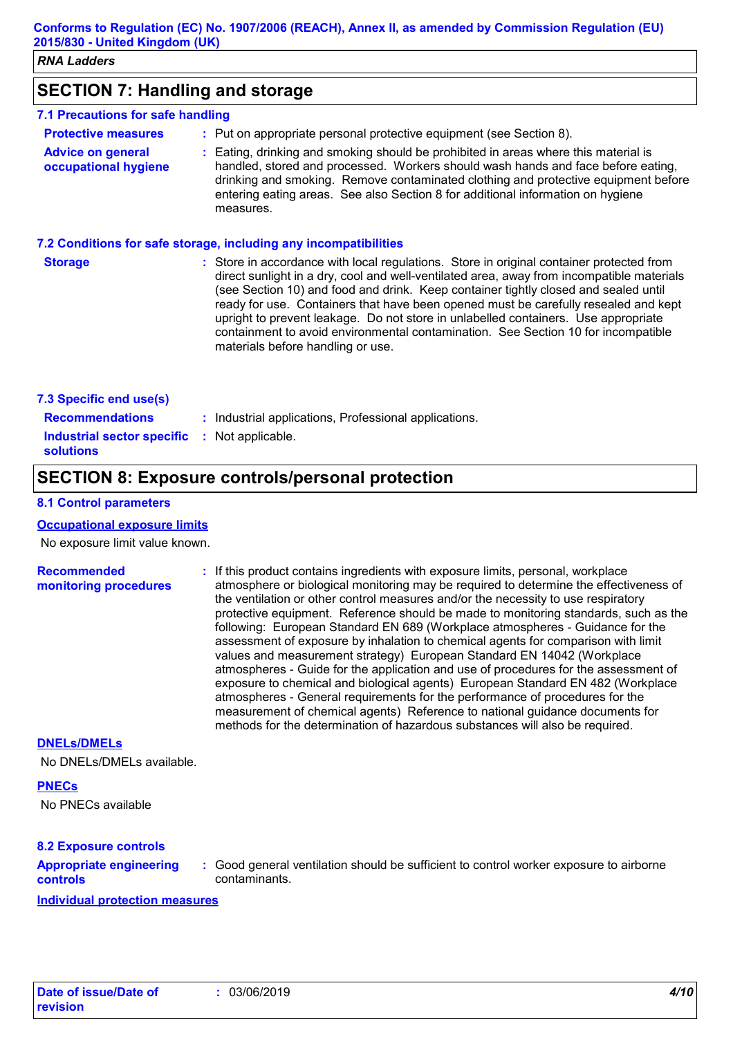## **SECTION 7: Handling and storage**

#### **7.1 Precautions for safe handling**

| <b>Protective measures</b>                       | : Put on appropriate personal protective equipment (see Section 8).                                                                                                                                                                                                                                                                                           |
|--------------------------------------------------|---------------------------------------------------------------------------------------------------------------------------------------------------------------------------------------------------------------------------------------------------------------------------------------------------------------------------------------------------------------|
| <b>Advice on general</b><br>occupational hygiene | : Eating, drinking and smoking should be prohibited in areas where this material is<br>handled, stored and processed. Workers should wash hands and face before eating,<br>drinking and smoking. Remove contaminated clothing and protective equipment before<br>entering eating areas. See also Section 8 for additional information on hygiene<br>measures. |

#### **7.2 Conditions for safe storage, including any incompatibilities**

| <b>Storage</b> | : Store in accordance with local regulations. Store in original container protected from<br>direct sunlight in a dry, cool and well-ventilated area, away from incompatible materials<br>(see Section 10) and food and drink. Keep container tightly closed and sealed until<br>ready for use. Containers that have been opened must be carefully resealed and kept<br>upright to prevent leakage. Do not store in unlabelled containers. Use appropriate<br>containment to avoid environmental contamination. See Section 10 for incompatible<br>materials before handling or use. |
|----------------|-------------------------------------------------------------------------------------------------------------------------------------------------------------------------------------------------------------------------------------------------------------------------------------------------------------------------------------------------------------------------------------------------------------------------------------------------------------------------------------------------------------------------------------------------------------------------------------|
|                |                                                                                                                                                                                                                                                                                                                                                                                                                                                                                                                                                                                     |

| 7.3 Specific end use(s)                                                 |                                                       |
|-------------------------------------------------------------------------|-------------------------------------------------------|
| <b>Recommendations</b>                                                  | : Industrial applications, Professional applications. |
| <b>Industrial sector specific : Not applicable.</b><br><b>solutions</b> |                                                       |

## **SECTION 8: Exposure controls/personal protection**

#### **8.1 Control parameters**

#### **Occupational exposure limits**

No exposure limit value known.

# **Recommended**

**monitoring procedures :** If this product contains ingredients with exposure limits, personal, workplace atmosphere or biological monitoring may be required to determine the effectiveness of the ventilation or other control measures and/or the necessity to use respiratory protective equipment. Reference should be made to monitoring standards, such as the following: European Standard EN 689 (Workplace atmospheres - Guidance for the assessment of exposure by inhalation to chemical agents for comparison with limit values and measurement strategy) European Standard EN 14042 (Workplace atmospheres - Guide for the application and use of procedures for the assessment of exposure to chemical and biological agents) European Standard EN 482 (Workplace atmospheres - General requirements for the performance of procedures for the measurement of chemical agents) Reference to national guidance documents for methods for the determination of hazardous substances will also be required.

#### **DNELs/DMELs**

No DNELs/DMELs available.

#### **PNECs**

No PNECs available

#### **8.2 Exposure controls**

#### **Appropriate engineering controls**

**:** Good general ventilation should be sufficient to control worker exposure to airborne contaminants.

**Individual protection measures**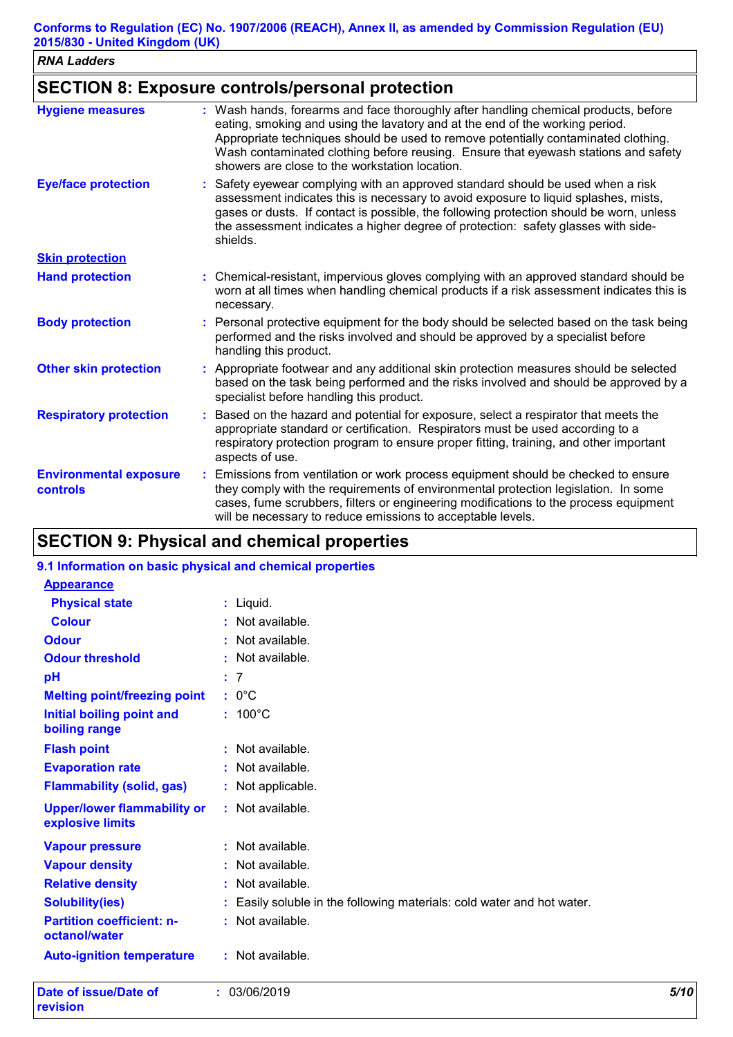| <b>RNA Ladders</b>                        |                                                                                                                                                                                                                                                                                                                                                                                                   |
|-------------------------------------------|---------------------------------------------------------------------------------------------------------------------------------------------------------------------------------------------------------------------------------------------------------------------------------------------------------------------------------------------------------------------------------------------------|
|                                           | <b>SECTION 8: Exposure controls/personal protection</b>                                                                                                                                                                                                                                                                                                                                           |
| <b>Hygiene measures</b>                   | : Wash hands, forearms and face thoroughly after handling chemical products, before<br>eating, smoking and using the lavatory and at the end of the working period.<br>Appropriate techniques should be used to remove potentially contaminated clothing.<br>Wash contaminated clothing before reusing. Ensure that eyewash stations and safety<br>showers are close to the workstation location. |
| <b>Eye/face protection</b>                | : Safety eyewear complying with an approved standard should be used when a risk<br>assessment indicates this is necessary to avoid exposure to liquid splashes, mists,<br>gases or dusts. If contact is possible, the following protection should be worn, unless<br>the assessment indicates a higher degree of protection: safety glasses with side-<br>shields.                                |
| <b>Skin protection</b>                    |                                                                                                                                                                                                                                                                                                                                                                                                   |
| <b>Hand protection</b>                    | : Chemical-resistant, impervious gloves complying with an approved standard should be<br>worn at all times when handling chemical products if a risk assessment indicates this is<br>necessary.                                                                                                                                                                                                   |
| <b>Body protection</b>                    | : Personal protective equipment for the body should be selected based on the task being<br>performed and the risks involved and should be approved by a specialist before<br>handling this product.                                                                                                                                                                                               |
| <b>Other skin protection</b>              | : Appropriate footwear and any additional skin protection measures should be selected<br>based on the task being performed and the risks involved and should be approved by a<br>specialist before handling this product.                                                                                                                                                                         |
| <b>Respiratory protection</b>             | : Based on the hazard and potential for exposure, select a respirator that meets the<br>appropriate standard or certification. Respirators must be used according to a<br>respiratory protection program to ensure proper fitting, training, and other important<br>aspects of use.                                                                                                               |
| <b>Environmental exposure</b><br>controls | : Emissions from ventilation or work process equipment should be checked to ensure<br>they comply with the requirements of environmental protection legislation. In some<br>cases, fume scrubbers, filters or engineering modifications to the process equipment<br>will be necessary to reduce emissions to acceptable levels.                                                                   |

# **SECTION 9: Physical and chemical properties**

### **9.1 Information on basic physical and chemical properties**

| Date of issue/Date of<br>revision                      | : 03/06/2019                                                         | 5/10 |
|--------------------------------------------------------|----------------------------------------------------------------------|------|
| <b>Auto-ignition temperature</b>                       | : Not available.                                                     |      |
| <b>Partition coefficient: n-</b><br>octanol/water      | : Not available.                                                     |      |
| <b>Solubility(ies)</b>                                 | Easily soluble in the following materials: cold water and hot water. |      |
| <b>Relative density</b>                                | : Not available.                                                     |      |
| <b>Vapour density</b>                                  | Not available.<br>÷.                                                 |      |
| <b>Vapour pressure</b>                                 | : Not available.                                                     |      |
| <b>Upper/lower flammability or</b><br>explosive limits | : Not available.                                                     |      |
| <b>Flammability (solid, gas)</b>                       | : Not applicable.                                                    |      |
| <b>Evaporation rate</b>                                | : Not available.                                                     |      |
| <b>Flash point</b>                                     | : Not available.                                                     |      |
| <b>Initial boiling point and</b><br>boiling range      | $: 100^{\circ}$ C                                                    |      |
| <b>Melting point/freezing point</b>                    | $: 0^{\circ}C$                                                       |      |
| pH                                                     | : 7                                                                  |      |
| <b>Odour threshold</b>                                 | : Not available.                                                     |      |
| <b>Odour</b>                                           | Not available.<br>÷.                                                 |      |
| <b>Colour</b>                                          | : Not available.                                                     |      |
| <b>Physical state</b>                                  | $:$ Liquid.                                                          |      |
| <b>Appearance</b>                                      |                                                                      |      |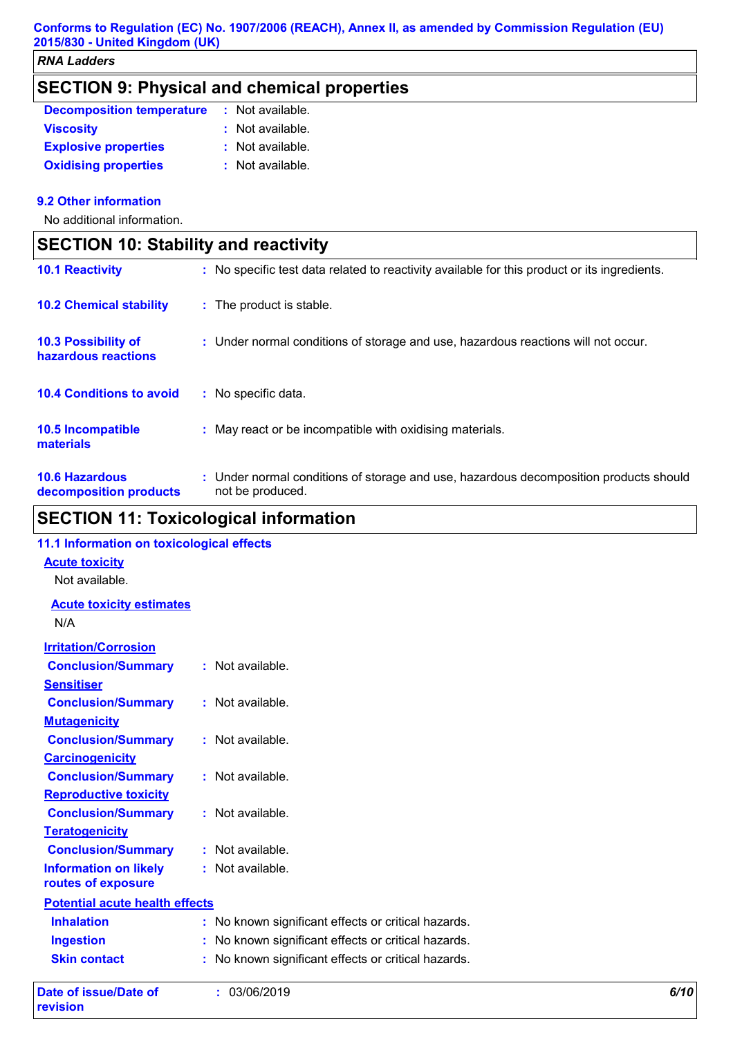|                                                   | <b>SECTION 9: Physical and chemical properties</b> |  |
|---------------------------------------------------|----------------------------------------------------|--|
| <b>Decomposition temperature : Not available.</b> |                                                    |  |

| <b>Viscosity</b>            | : Not available. |
|-----------------------------|------------------|
| <b>Explosive properties</b> | : Not available. |
| <b>Oxidising properties</b> | : Not available. |

#### **9.2 Other information**

**r** 

No additional information.

| <b>SECTION 10: Stability and reactivity</b>       |                                                                                                           |  |
|---------------------------------------------------|-----------------------------------------------------------------------------------------------------------|--|
| <b>10.1 Reactivity</b>                            | : No specific test data related to reactivity available for this product or its ingredients.              |  |
| <b>10.2 Chemical stability</b>                    | : The product is stable.                                                                                  |  |
| <b>10.3 Possibility of</b><br>hazardous reactions | : Under normal conditions of storage and use, hazardous reactions will not occur.                         |  |
| <b>10.4 Conditions to avoid</b>                   | : No specific data.                                                                                       |  |
| 10.5 Incompatible<br>materials                    | : May react or be incompatible with oxidising materials.                                                  |  |
| <b>10.6 Hazardous</b><br>decomposition products   | : Under normal conditions of storage and use, hazardous decomposition products should<br>not be produced. |  |

# **SECTION 11: Toxicological information**

| <b>Date of issue/Date of</b><br>revision         | : 03/06/2019                                        | 6/10 |
|--------------------------------------------------|-----------------------------------------------------|------|
| <b>Skin contact</b>                              | : No known significant effects or critical hazards. |      |
| <b>Ingestion</b>                                 | : No known significant effects or critical hazards. |      |
| <b>Inhalation</b>                                | : No known significant effects or critical hazards. |      |
| <b>Potential acute health effects</b>            |                                                     |      |
| routes of exposure                               |                                                     |      |
| <b>Information on likely</b>                     | : Not available.                                    |      |
| <b>Conclusion/Summary</b>                        | : Not available.                                    |      |
| <b>Teratogenicity</b>                            |                                                     |      |
| <b>Conclusion/Summary</b>                        | : Not available.                                    |      |
| <b>Reproductive toxicity</b>                     |                                                     |      |
| <b>Conclusion/Summary</b>                        | : Not available.                                    |      |
| <b>Carcinogenicity</b>                           |                                                     |      |
| <b>Mutagenicity</b><br><b>Conclusion/Summary</b> | : Not available.                                    |      |
| <b>Conclusion/Summary</b>                        | : Not available.                                    |      |
| <b>Sensitiser</b>                                |                                                     |      |
| <b>Conclusion/Summary</b>                        | : Not available.                                    |      |
| <b>Irritation/Corrosion</b>                      |                                                     |      |
| N/A                                              |                                                     |      |
| <b>Acute toxicity estimates</b>                  |                                                     |      |
| Not available.                                   |                                                     |      |
| <b>Acute toxicity</b>                            |                                                     |      |
| 11.1 Information on toxicological effects        |                                                     |      |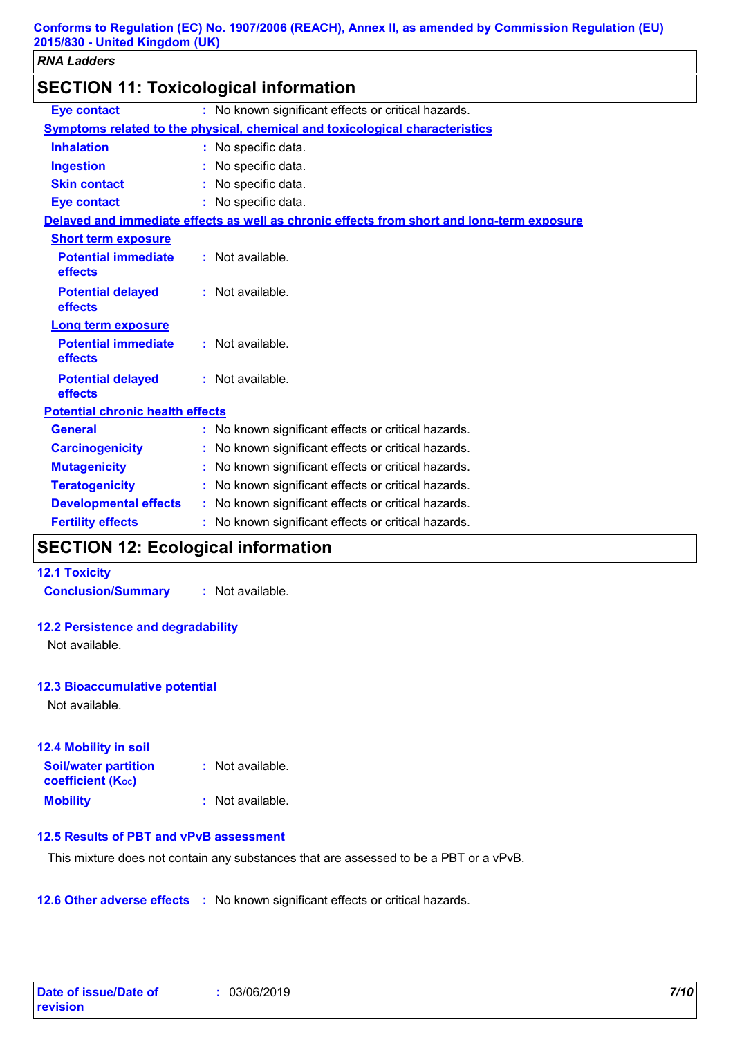| <b>SECTION 11: Toxicological information</b> |  |                                                                                            |
|----------------------------------------------|--|--------------------------------------------------------------------------------------------|
| <b>Eye contact</b>                           |  | : No known significant effects or critical hazards.                                        |
|                                              |  | Symptoms related to the physical, chemical and toxicological characteristics               |
| <b>Inhalation</b>                            |  | : No specific data.                                                                        |
| <b>Ingestion</b>                             |  | : No specific data.                                                                        |
| <b>Skin contact</b>                          |  | : No specific data.                                                                        |
| <b>Eye contact</b>                           |  | : No specific data.                                                                        |
|                                              |  | Delayed and immediate effects as well as chronic effects from short and long-term exposure |
| <b>Short term exposure</b>                   |  |                                                                                            |
| <b>Potential immediate</b><br>effects        |  | : Not available.                                                                           |
| <b>Potential delayed</b><br>effects          |  | : Not available.                                                                           |
| <b>Long term exposure</b>                    |  |                                                                                            |
| <b>Potential immediate</b><br>effects        |  | : Not available.                                                                           |
| <b>Potential delayed</b><br>effects          |  | : Not available.                                                                           |
| <b>Potential chronic health effects</b>      |  |                                                                                            |
| <b>General</b>                               |  | : No known significant effects or critical hazards.                                        |
| <b>Carcinogenicity</b>                       |  | : No known significant effects or critical hazards.                                        |
| <b>Mutagenicity</b>                          |  | : No known significant effects or critical hazards.                                        |
| <b>Teratogenicity</b>                        |  | : No known significant effects or critical hazards.                                        |
| <b>Developmental effects</b>                 |  | : No known significant effects or critical hazards.                                        |
| <b>Fertility effects</b>                     |  | : No known significant effects or critical hazards.                                        |

# **SECTION 12: Ecological information**

#### **12.1 Toxicity**

**Conclusion/Summary :** Not available.

#### **12.2 Persistence and degradability**

Not available.

#### **12.3 Bioaccumulative potential**

Not available.

| 12.4 Mobility in soil                                   |                    |
|---------------------------------------------------------|--------------------|
| <b>Soil/water partition</b><br><b>coefficient (Koc)</b> | $:$ Not available. |
| <b>Mobility</b>                                         | $:$ Not available. |

#### **12.5 Results of PBT and vPvB assessment**

This mixture does not contain any substances that are assessed to be a PBT or a vPvB.

**12.6 Other adverse effects** : No known significant effects or critical hazards.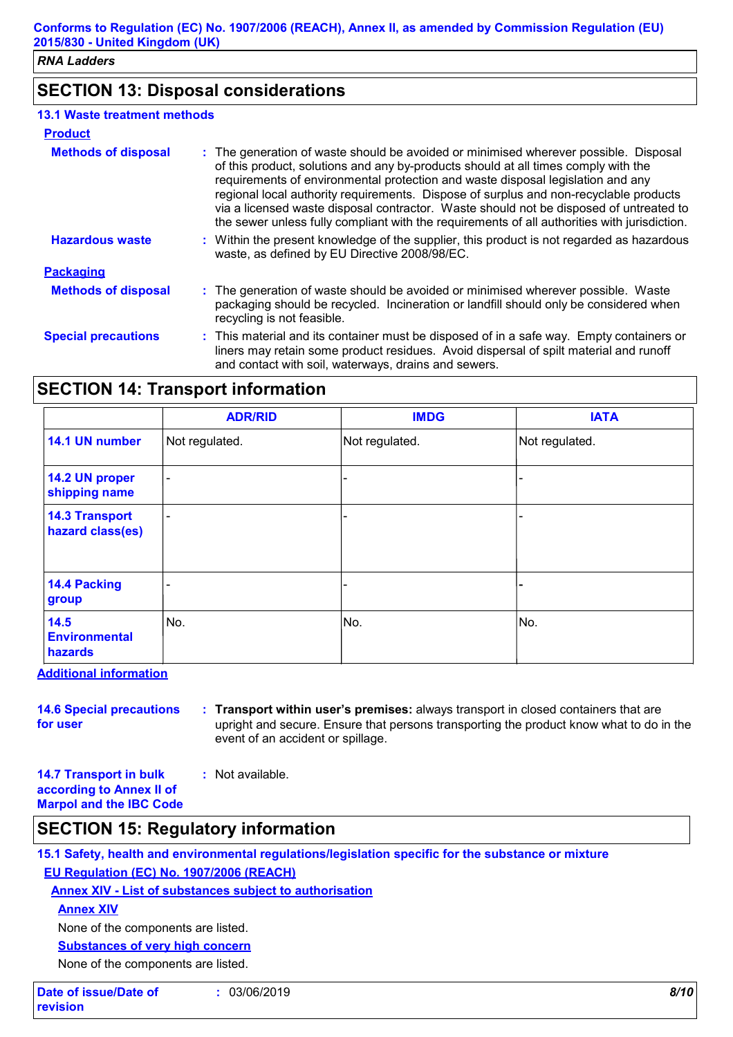# **SECTION 13: Disposal considerations**

#### **13.1 Waste treatment methods**

| <b>Product</b>             |                                                                                                                                                                                                                                                                                                                                                                                                                                                                                                                                                  |
|----------------------------|--------------------------------------------------------------------------------------------------------------------------------------------------------------------------------------------------------------------------------------------------------------------------------------------------------------------------------------------------------------------------------------------------------------------------------------------------------------------------------------------------------------------------------------------------|
| <b>Methods of disposal</b> | : The generation of waste should be avoided or minimised wherever possible. Disposal<br>of this product, solutions and any by-products should at all times comply with the<br>requirements of environmental protection and waste disposal legislation and any<br>regional local authority requirements. Dispose of surplus and non-recyclable products<br>via a licensed waste disposal contractor. Waste should not be disposed of untreated to<br>the sewer unless fully compliant with the requirements of all authorities with jurisdiction. |
| <b>Hazardous waste</b>     | : Within the present knowledge of the supplier, this product is not regarded as hazardous<br>waste, as defined by EU Directive 2008/98/EC.                                                                                                                                                                                                                                                                                                                                                                                                       |
| <b>Packaging</b>           |                                                                                                                                                                                                                                                                                                                                                                                                                                                                                                                                                  |
| <b>Methods of disposal</b> | : The generation of waste should be avoided or minimised wherever possible. Waste<br>packaging should be recycled. Incineration or landfill should only be considered when<br>recycling is not feasible.                                                                                                                                                                                                                                                                                                                                         |
| <b>Special precautions</b> | : This material and its container must be disposed of in a safe way. Empty containers or<br>liners may retain some product residues. Avoid dispersal of spilt material and runoff<br>and contact with soil, waterways, drains and sewers.                                                                                                                                                                                                                                                                                                        |

# **SECTION 14: Transport information**

|                                           | <b>ADR/RID</b>           | <b>IMDG</b>    | <b>IATA</b>    |
|-------------------------------------------|--------------------------|----------------|----------------|
| 14.1 UN number                            | Not regulated.           | Not regulated. | Not regulated. |
| 14.2 UN proper<br>shipping name           | $\overline{\phantom{a}}$ |                |                |
| <b>14.3 Transport</b><br>hazard class(es) | ٠                        |                |                |
| 14.4 Packing<br>group                     | -                        |                |                |
| 14.5<br><b>Environmental</b><br>hazards   | No.                      | No.            | No.            |

**Additional information**

**14.6 Special precautions for user : Transport within user's premises:** always transport in closed containers that are upright and secure. Ensure that persons transporting the product know what to do in the event of an accident or spillage.

**14.7 Transport in bulk according to Annex II of Marpol and the IBC Code :** Not available.

# **SECTION 15: Regulatory information**

**15.1 Safety, health and environmental regulations/legislation specific for the substance or mixture EU Regulation (EC) No. 1907/2006 (REACH)**

**Annex XIV - List of substances subject to authorisation**

**Annex XIV**

None of the components are listed.

**Substances of very high concern**

None of the components are listed.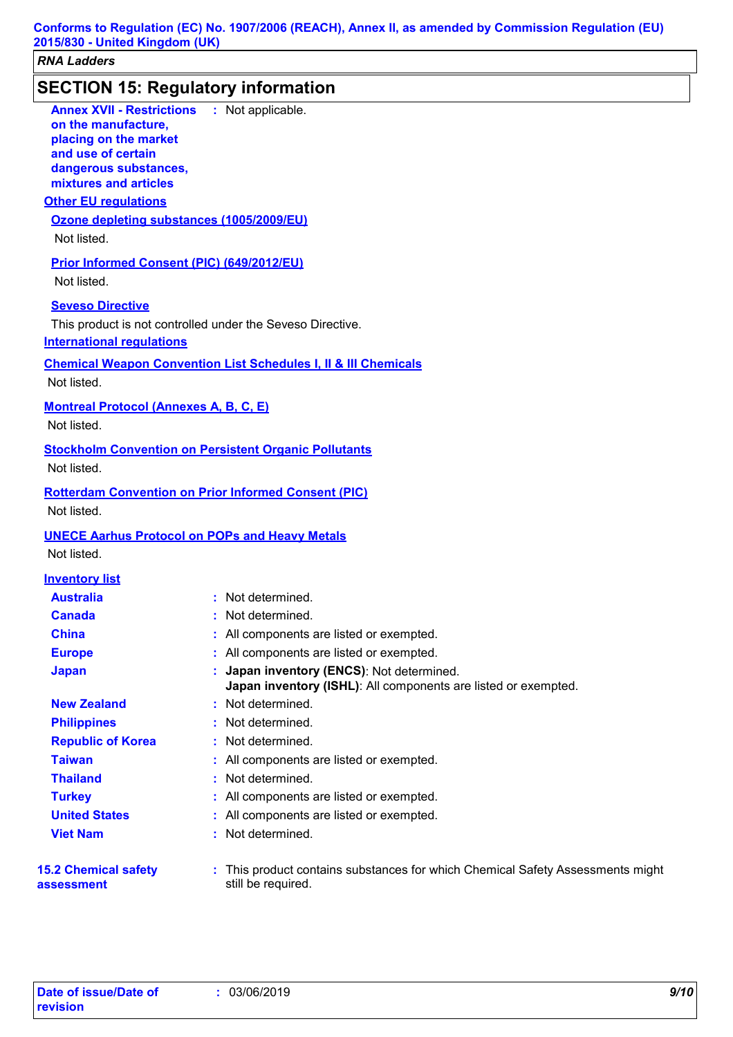### **SECTION 15: Regulatory information**

**Other EU regulations Annex XVII - Restrictions on the manufacture, placing on the market and use of certain dangerous substances, mixtures and articles** : Not applicable. **Seveso Directive** This product is not controlled under the Seveso Directive. **Ozone depleting substances (1005/2009/EU)** Not listed. **Prior Informed Consent (PIC) (649/2012/EU)** Not listed. **International regulations 15.2 Chemical safety assessment** This product contains substances for which Chemical Safety Assessments might **:** still be required. **Chemical Weapon Convention List Schedules I, II & III Chemicals Montreal Protocol (Annexes A, B, C, E)** Not listed. **Stockholm Convention on Persistent Organic Pollutants** Not listed. **Rotterdam Convention on Prior Informed Consent (PIC)** Not listed. **UNECE Aarhus Protocol on POPs and Heavy Metals** Not listed. **Europe :** All components are listed or exempted. **Inventory list Australia :** Not determined. **Canada :** Not determined. **China :** All components are listed or exempted. **Japan : Japan inventory (ENCS)**: Not determined. **Japan inventory (ISHL)**: All components are listed or exempted. **Republic of Korea :** Not determined. **New Zealand :** Not determined. **Philippines :** Not determined. **Taiwan :** All components are listed or exempted. **United States :** All components are listed or exempted. **Turkey :** All components are listed or exempted. **Thailand :** Not determined. **Viet Nam :** Not determined. Not listed.